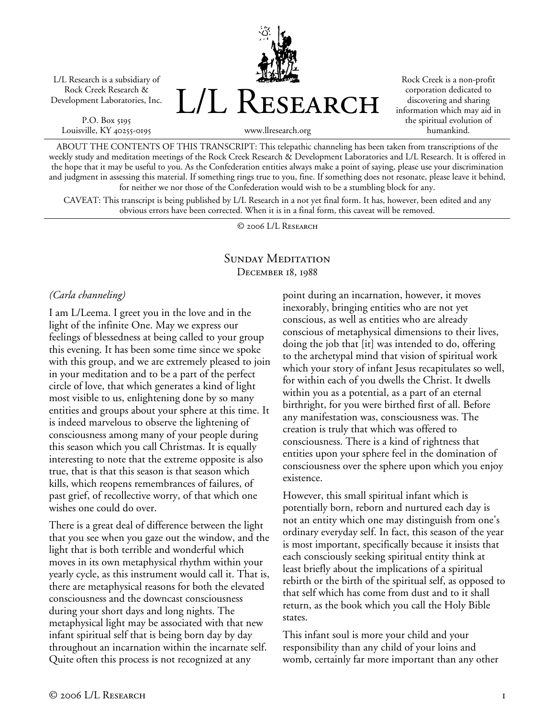L/L Research is a subsidiary of Rock Creek Research & Development Laboratories, Inc.

P.O. Box 5195 Louisville, KY 40255-0195 L/L Research

Rock Creek is a non-profit corporation dedicated to discovering and sharing information which may aid in the spiritual evolution of humankind.

ABOUT THE CONTENTS OF THIS TRANSCRIPT: This telepathic channeling has been taken from transcriptions of the weekly study and meditation meetings of the Rock Creek Research & Development Laboratories and L/L Research. It is offered in the hope that it may be useful to you. As the Confederation entities always make a point of saying, please use your discrimination and judgment in assessing this material. If something rings true to you, fine. If something does not resonate, please leave it behind, for neither we nor those of the Confederation would wish to be a stumbling block for any.

www.llresearch.org

CAVEAT: This transcript is being published by L/L Research in a not yet final form. It has, however, been edited and any obvious errors have been corrected. When it is in a final form, this caveat will be removed.

© 2006 L/L Research

## SUNDAY MEDITATION December 18, 1988

## *(Carla channeling)*

I am L/Leema. I greet you in the love and in the light of the infinite One. May we express our feelings of blessedness at being called to your group this evening. It has been some time since we spoke with this group, and we are extremely pleased to join in your meditation and to be a part of the perfect circle of love, that which generates a kind of light most visible to us, enlightening done by so many entities and groups about your sphere at this time. It is indeed marvelous to observe the lightening of consciousness among many of your people during this season which you call Christmas. It is equally interesting to note that the extreme opposite is also true, that is that this season is that season which kills, which reopens remembrances of failures, of past grief, of recollective worry, of that which one wishes one could do over.

There is a great deal of difference between the light that you see when you gaze out the window, and the light that is both terrible and wonderful which moves in its own metaphysical rhythm within your yearly cycle, as this instrument would call it. That is, there are metaphysical reasons for both the elevated consciousness and the downcast consciousness during your short days and long nights. The metaphysical light may be associated with that new infant spiritual self that is being born day by day throughout an incarnation within the incarnate self. Quite often this process is not recognized at any

point during an incarnation, however, it moves inexorably, bringing entities who are not yet conscious, as well as entities who are already conscious of metaphysical dimensions to their lives, doing the job that [it] was intended to do, offering to the archetypal mind that vision of spiritual work which your story of infant Jesus recapitulates so well, for within each of you dwells the Christ. It dwells within you as a potential, as a part of an eternal birthright, for you were birthed first of all. Before any manifestation was, consciousness was. The creation is truly that which was offered to consciousness. There is a kind of rightness that entities upon your sphere feel in the domination of consciousness over the sphere upon which you enjoy existence.

However, this small spiritual infant which is potentially born, reborn and nurtured each day is not an entity which one may distinguish from one's ordinary everyday self. In fact, this season of the year is most important, specifically because it insists that each consciously seeking spiritual entity think at least briefly about the implications of a spiritual rebirth or the birth of the spiritual self, as opposed to that self which has come from dust and to it shall return, as the book which you call the Holy Bible states.

This infant soul is more your child and your responsibility than any child of your loins and womb, certainly far more important than any other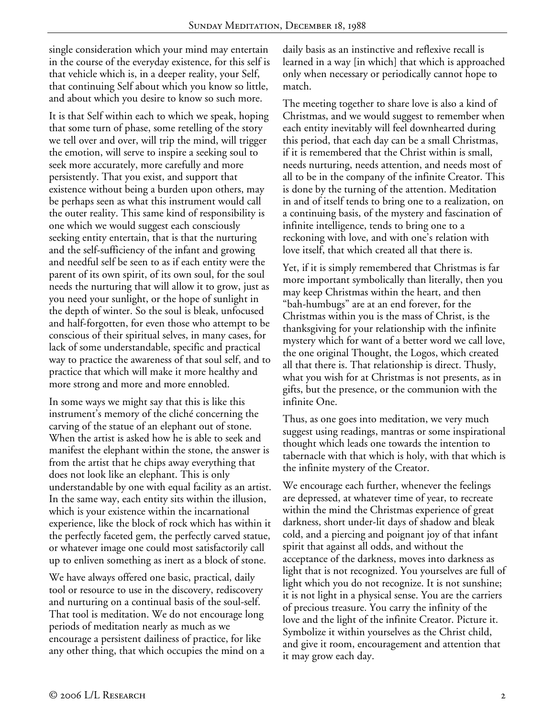single consideration which your mind may entertain in the course of the everyday existence, for this self is that vehicle which is, in a deeper reality, your Self, that continuing Self about which you know so little, and about which you desire to know so such more.

It is that Self within each to which we speak, hoping that some turn of phase, some retelling of the story we tell over and over, will trip the mind, will trigger the emotion, will serve to inspire a seeking soul to seek more accurately, more carefully and more persistently. That you exist, and support that existence without being a burden upon others, may be perhaps seen as what this instrument would call the outer reality. This same kind of responsibility is one which we would suggest each consciously seeking entity entertain, that is that the nurturing and the self-sufficiency of the infant and growing and needful self be seen to as if each entity were the parent of its own spirit, of its own soul, for the soul needs the nurturing that will allow it to grow, just as you need your sunlight, or the hope of sunlight in the depth of winter. So the soul is bleak, unfocused and half-forgotten, for even those who attempt to be conscious of their spiritual selves, in many cases, for lack of some understandable, specific and practical way to practice the awareness of that soul self, and to practice that which will make it more healthy and more strong and more and more ennobled.

In some ways we might say that this is like this instrument's memory of the cliché concerning the carving of the statue of an elephant out of stone. When the artist is asked how he is able to seek and manifest the elephant within the stone, the answer is from the artist that he chips away everything that does not look like an elephant. This is only understandable by one with equal facility as an artist. In the same way, each entity sits within the illusion, which is your existence within the incarnational experience, like the block of rock which has within it the perfectly faceted gem, the perfectly carved statue, or whatever image one could most satisfactorily call up to enliven something as inert as a block of stone.

We have always offered one basic, practical, daily tool or resource to use in the discovery, rediscovery and nurturing on a continual basis of the soul-self. That tool is meditation. We do not encourage long periods of meditation nearly as much as we encourage a persistent dailiness of practice, for like any other thing, that which occupies the mind on a daily basis as an instinctive and reflexive recall is learned in a way [in which] that which is approached only when necessary or periodically cannot hope to match.

The meeting together to share love is also a kind of Christmas, and we would suggest to remember when each entity inevitably will feel downhearted during this period, that each day can be a small Christmas, if it is remembered that the Christ within is small, needs nurturing, needs attention, and needs most of all to be in the company of the infinite Creator. This is done by the turning of the attention. Meditation in and of itself tends to bring one to a realization, on a continuing basis, of the mystery and fascination of infinite intelligence, tends to bring one to a reckoning with love, and with one's relation with love itself, that which created all that there is.

Yet, if it is simply remembered that Christmas is far more important symbolically than literally, then you may keep Christmas within the heart, and then "bah-humbugs" are at an end forever, for the Christmas within you is the mass of Christ, is the thanksgiving for your relationship with the infinite mystery which for want of a better word we call love, the one original Thought, the Logos, which created all that there is. That relationship is direct. Thusly, what you wish for at Christmas is not presents, as in gifts, but the presence, or the communion with the infinite One.

Thus, as one goes into meditation, we very much suggest using readings, mantras or some inspirational thought which leads one towards the intention to tabernacle with that which is holy, with that which is the infinite mystery of the Creator.

We encourage each further, whenever the feelings are depressed, at whatever time of year, to recreate within the mind the Christmas experience of great darkness, short under-lit days of shadow and bleak cold, and a piercing and poignant joy of that infant spirit that against all odds, and without the acceptance of the darkness, moves into darkness as light that is not recognized. You yourselves are full of light which you do not recognize. It is not sunshine; it is not light in a physical sense. You are the carriers of precious treasure. You carry the infinity of the love and the light of the infinite Creator. Picture it. Symbolize it within yourselves as the Christ child, and give it room, encouragement and attention that it may grow each day.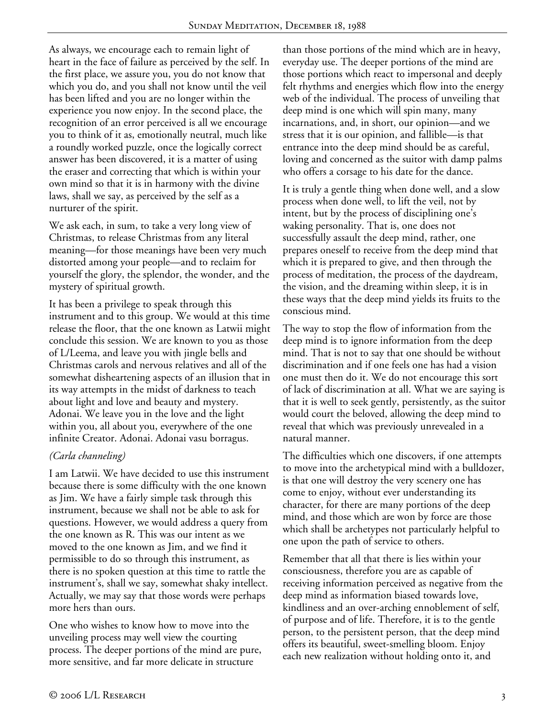As always, we encourage each to remain light of heart in the face of failure as perceived by the self. In the first place, we assure you, you do not know that which you do, and you shall not know until the veil has been lifted and you are no longer within the experience you now enjoy. In the second place, the recognition of an error perceived is all we encourage you to think of it as, emotionally neutral, much like a roundly worked puzzle, once the logically correct answer has been discovered, it is a matter of using the eraser and correcting that which is within your own mind so that it is in harmony with the divine laws, shall we say, as perceived by the self as a nurturer of the spirit.

We ask each, in sum, to take a very long view of Christmas, to release Christmas from any literal meaning—for those meanings have been very much distorted among your people—and to reclaim for yourself the glory, the splendor, the wonder, and the mystery of spiritual growth.

It has been a privilege to speak through this instrument and to this group. We would at this time release the floor, that the one known as Latwii might conclude this session. We are known to you as those of L/Leema, and leave you with jingle bells and Christmas carols and nervous relatives and all of the somewhat disheartening aspects of an illusion that in its way attempts in the midst of darkness to teach about light and love and beauty and mystery. Adonai. We leave you in the love and the light within you, all about you, everywhere of the one infinite Creator. Adonai. Adonai vasu borragus.

## *(Carla channeling)*

I am Latwii. We have decided to use this instrument because there is some difficulty with the one known as Jim. We have a fairly simple task through this instrument, because we shall not be able to ask for questions. However, we would address a query from the one known as R. This was our intent as we moved to the one known as Jim, and we find it permissible to do so through this instrument, as there is no spoken question at this time to rattle the instrument's, shall we say, somewhat shaky intellect. Actually, we may say that those words were perhaps more hers than ours.

One who wishes to know how to move into the unveiling process may well view the courting process. The deeper portions of the mind are pure, more sensitive, and far more delicate in structure

than those portions of the mind which are in heavy, everyday use. The deeper portions of the mind are those portions which react to impersonal and deeply felt rhythms and energies which flow into the energy web of the individual. The process of unveiling that deep mind is one which will spin many, many incarnations, and, in short, our opinion—and we stress that it is our opinion, and fallible—is that entrance into the deep mind should be as careful, loving and concerned as the suitor with damp palms who offers a corsage to his date for the dance.

It is truly a gentle thing when done well, and a slow process when done well, to lift the veil, not by intent, but by the process of disciplining one's waking personality. That is, one does not successfully assault the deep mind, rather, one prepares oneself to receive from the deep mind that which it is prepared to give, and then through the process of meditation, the process of the daydream, the vision, and the dreaming within sleep, it is in these ways that the deep mind yields its fruits to the conscious mind.

The way to stop the flow of information from the deep mind is to ignore information from the deep mind. That is not to say that one should be without discrimination and if one feels one has had a vision one must then do it. We do not encourage this sort of lack of discrimination at all. What we are saying is that it is well to seek gently, persistently, as the suitor would court the beloved, allowing the deep mind to reveal that which was previously unrevealed in a natural manner.

The difficulties which one discovers, if one attempts to move into the archetypical mind with a bulldozer, is that one will destroy the very scenery one has come to enjoy, without ever understanding its character, for there are many portions of the deep mind, and those which are won by force are those which shall be archetypes not particularly helpful to one upon the path of service to others.

Remember that all that there is lies within your consciousness, therefore you are as capable of receiving information perceived as negative from the deep mind as information biased towards love, kindliness and an over-arching ennoblement of self, of purpose and of life. Therefore, it is to the gentle person, to the persistent person, that the deep mind offers its beautiful, sweet-smelling bloom. Enjoy each new realization without holding onto it, and